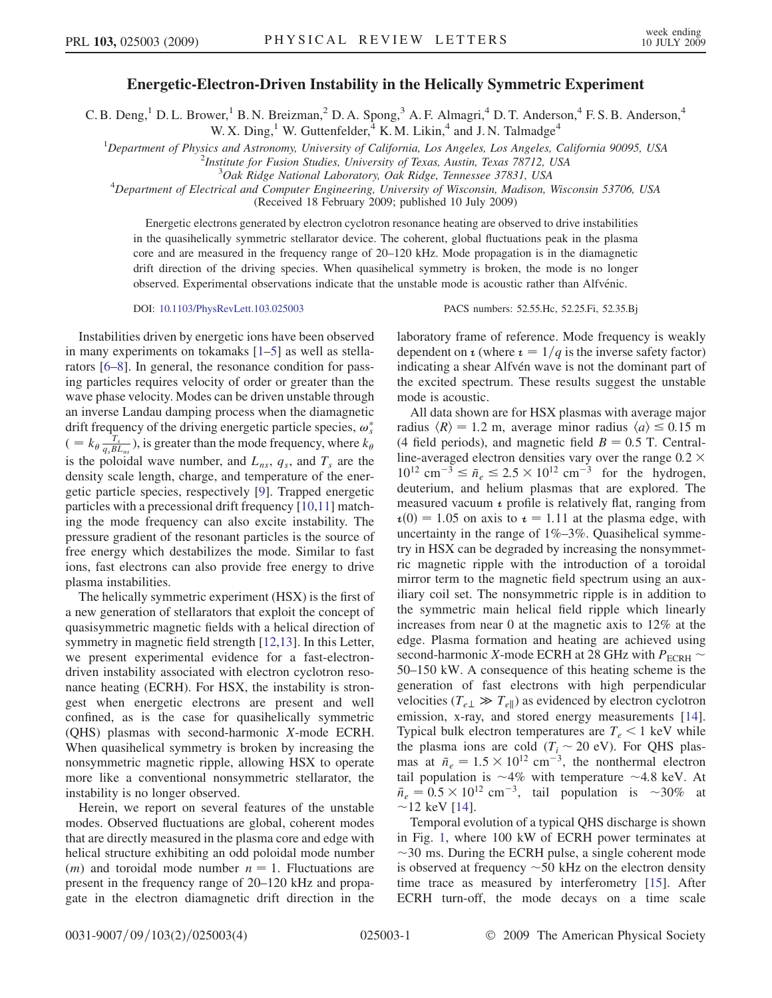## $E$  . The  $E$  is the  $E$  of  $E$  is the Helically Symmetric Eq. ( ) is the Helically  $E$

C. B. Deng,<sup>1</sup> D. L. Brower,<sup>1</sup> B. N. Breizman,<sup>2</sup> D. A. Spong,<sup>3</sup> A. F. Almagri,<sup>4</sup> D. T. Anderson,<sup>4</sup> F. S. B. Anderson,<sup>4</sup> W. X. Ding,<sup>1</sup> W. Guttenfelder,<sup>4</sup> K. M. Likin,<sup>4</sup> and J. N. Talmadge<sup>4</sup>

<sup>1</sup>Department of Physics and Astronomy, University of California, Los Angeles, Los Angeles, California 90095, USA<br><sup>2</sup> lustitute for Eusian Studies, University of Taxas, Austin, Taxas 78712, USA

<sup>2</sup>Institute for Fusion Studies, University of Texas, Austin, Texas 78712, USA

 $3$ Oak Ridge National Laboratory, Oak Ridge, Tennessee 37831, USA

 $^{4}$ Department of Electrical and Computer Engineering, University of Wisconsin, Madison, Wisconsin 53706, USA

(Received 18 February 2009; published 10 July 2009)

Energetic electrons generated by electron cyclotron resonance heating are observed to drive instabilities in the quasihelically symmetric stellarator device. The coherent, global fluctuations peak in the plasma core and are measured in the frequency range of 20–120 kHz. Mode propagation is in the diamagnetic drift direction of the driving species. When quasihelical symmetry is broken, the mode is no longer observed. Experimental observations indicate that the unstable mode is acoustic rather than Alfvénic.

DOI: [10.1103/PhysRevLett.103.025003](http://dx.doi.org/10.1103/PhysRevLett.103.025003) PACS numbers: 52.55.Hc, 52.25.Fi, 52.35.Bj

Instabilities driven by energetic ions have been observed in many experiments on tokamaks [\[1](#page-3-0)–[5\]](#page-3-1) as well as stellarators [\[6–](#page-3-2)[8](#page-3-3)]. In general, the resonance condition for passing particles requires velocity of order or greater than the wave phase velocity. Modes can be driven unstable through an inverse Landau damping process when the diamagnetic drift frequency of the driving energetic particle species,  $\omega_s^*$  $( = k_{\theta} \frac{r_s}{q_s BL_{ns}})$ , is greater than the mode frequency, where  $k_{\theta}$ is the poloidal wave number, and  $L_{ns}$ ,  $q_s$ , and  $T_s$  are the density scale length, charge, and temperature of the energetic particle species, respectively [\[9\]](#page-3-4). Trapped energetic particles with a precessional drift frequency [[10](#page-3-5),[11](#page-3-6)] matching the mode frequency can also excite instability. The pressure gradient of the resonant particles is the source of free energy which destabilizes the mode. Similar to fast ions, fast electrons can also provide free energy to drive plasma instabilities.

The helically symmetric experiment (HSX) is the first of a new generation of stellarators that exploit the concept of quasisymmetric magnetic fields with a helical direction of symmetry in magnetic field strength [[12](#page-3-7),[13](#page-3-8)]. In this Letter, we present experimental evidence for a fast-electrondriven instability associated with electron cyclotron resonance heating (ECRH). For HSX, the instability is strongest when energetic electrons are present and well confined, as is the case for quasihelically symmetric (QHS) plasmas with second-harmonic X-mode ECRH. When quasihelical symmetry is broken by increasing the nonsymmetric magnetic ripple, allowing HSX to operate more like a conventional nonsymmetric stellarator, the instability is no longer observed.

Herein, we report on several features of the unstable modes. Observed fluctuations are global, coherent modes that are directly measured in the plasma core and edge with helical structure exhibiting an odd poloidal mode number  $(m)$  and toroidal mode number  $n = 1$ . Fluctuations are present in the frequency range of 20–120 kHz and propagate in the electron diamagnetic drift direction in the laboratory frame of reference. Mode frequency is weakly dependent on  $\iota$  (where  $\iota = 1/q$  is the inverse safety factor) indicating a shear Alfvén wave is not the dominant part of the excited spectrum. These results suggest the unstable mode is acoustic.

All data shown are for HSX plasmas with average major radius  $\langle R \rangle = 1.2$  m, average minor radius  $\langle a \rangle \leq 0.15$  m (4 field periods), and magnetic field  $B = 0.5$  T. Centralline-averaged electron densities vary over the range  $0.2 \times$  $10^{12}$  cm<sup>-3</sup>  $\le \bar{n}_e \le 2.5 \times 10^{12}$  cm<sup>-3</sup> for the hydrogen, deuterium, and helium plasmas that are explored. The measured vacuum  $\iota$  profile is relatively flat, ranging from  $\iota(0) = 1.05$  on axis to  $\iota = 1.11$  at the plasma edge, with uncertainty in the range of 1%–3%. Quasihelical symmetry in HSX can be degraded by increasing the nonsymmetric magnetic ripple with the introduction of a toroidal mirror term to the magnetic field spectrum using an auxiliary coil set. The nonsymmetric ripple is in addition to the symmetric main helical field ripple which linearly increases from near 0 at the magnetic axis to 12% at the edge. Plasma formation and heating are achieved using second-harmonic X-mode ECRH at 28 GHz with  $P_{\text{ECRH}}$ 50–150 kW. A consequence of this heating scheme is the generation of fast electrons with high perpendicular velocities ( $T_{e\perp} \gg T_{e\parallel}$ ) as evidenced by electron cyclotron emission, x-ray, and stored energy measurements [[14\]](#page-3-9). Typical bulk electron temperatures are  $T_e \leq 1$  keV while the plasma ions are cold  $(T<sub>i</sub> \sim 20 \text{ eV})$ . For QHS plasmas at  $\bar{n}_e = 1.5 \times 10^{12}$  cm<sup>-3</sup>, the nonthermal electron tail population is  $\sim$ 4% with temperature  $\sim$ 4.8 keV. At  $\bar{n}_e = 0.5 \times 10^{12}$  cm<sup>-3</sup>, tail population is ~30% at  $\sim$ 12 keV [[14](#page-3-9)].

Temporal evolution of a typical QHS discharge is shown in Fig. [1,](#page-1-0) where 100 kW of ECRH power terminates at  $\sim$ 30 ms. During the ECRH pulse, a single coherent mode is observed at frequency  $\sim$  50 kHz on the electron density time trace as measured by interferometry [\[15\]](#page-3-10). After ECRH turn-off, the mode decays on a time scale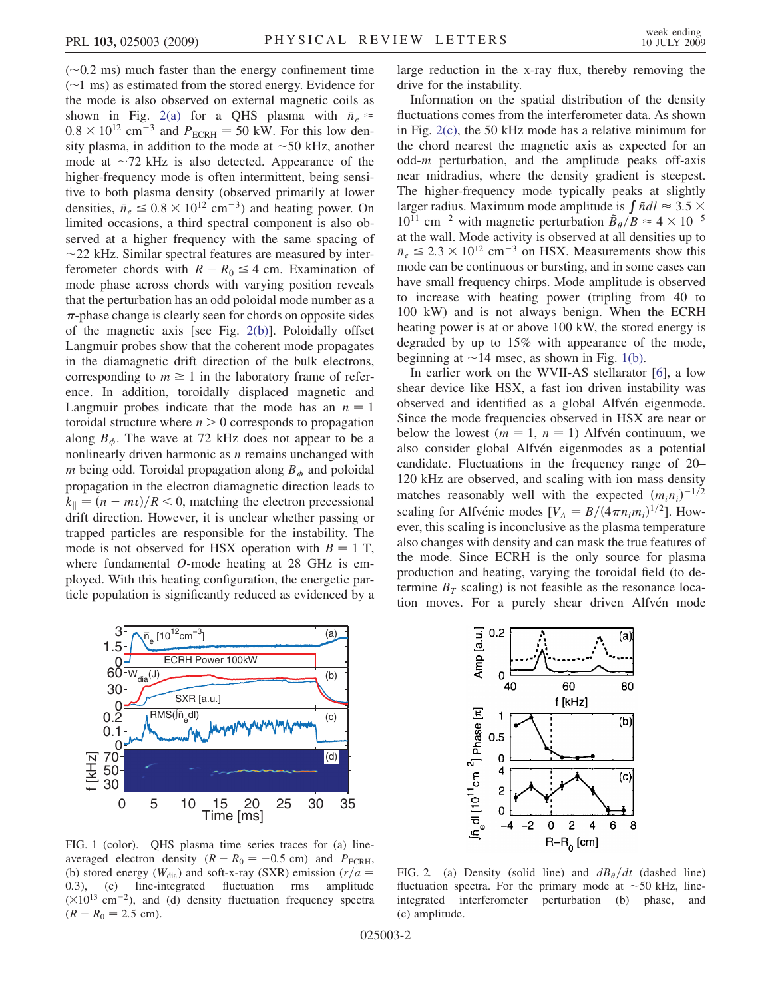$(-0.2 \text{ ms})$  much faster than the energy confinement time  $(\sim)$  ms) as estimated from the stored energy. Evidence for the mode is also observed on external magnetic coils as shown in Fig. [2\(a\)](#page-1-1) for a QHS plasma with  $\bar{n}_e \approx$  $0.8 \times 10^{12}$  cm<sup>-3</sup> and  $P_{ECRH} = 50$  kW. For this low density plasma, in addition to the mode at  $\sim$  50 kHz, another mode at  $\sim$ 72 kHz is also detected. Appearance of the higher-frequency mode is often intermittent, being sensitive to both plasma density (observed primarily at lower densities,  $\bar{n}_e \leq 0.8 \times 10^{12} \text{ cm}^{-3}$  and heating power. On limited occasions, a third spectral component is also observed at a higher frequency with the same spacing of  $\sim$ 22 kHz. Similar spectral features are measured by interferometer chords with  $R - R_0 \leq 4$  cm. Examination of mode phase across chords with varying position reveals that the perturbation has an odd poloidal mode number as a  $\pi$ -phase change is clearly seen for chords on opposite sides of the magnetic axis [see Fig. [2\(b\)](#page-1-1)]. Poloidally offset Langmuir probes show that the coherent mode propagates in the diamagnetic drift direction of the bulk electrons, corresponding to  $m \geq 1$  in the laboratory frame of reference. In addition, toroidally displaced magnetic and Langmuir probes indicate that the mode has an  $n = 1$ toroidal structure where  $n > 0$  corresponds to propagation along  $B_{\phi}$ . The wave at 72 kHz does not appear to be a nonlinearly driven harmonic as  $n$  remains unchanged with m being odd. Toroidal propagation along  $B_{\phi}$  and poloidal propagation in the electron diamagnetic direction leads to  $k_{\parallel} = (n - m_t)/R < 0$ , matching the electron precessional drift direction. However, it is unclear whether passing or trapped particles are responsible for the instability. The mode is not observed for HSX operation with  $B = 1$  T, where fundamental O-mode heating at 28 GHz is employed. With this heating configuration, the energetic particle population is significantly reduced as evidenced by a large reduction in the x-ray flux, thereby removing the drive for the instability.

Information on the spatial distribution of the density fluctuations comes from the interferometer data. As shown in Fig. [2\(c\),](#page-1-1) the 50 kHz mode has a relative minimum for the chord nearest the magnetic axis as expected for an odd-m perturbation, and the amplitude peaks off-axis near midradius, where the density gradient is steepest. The higher-frequency mode typically peaks at slightly larger radius. Maximum mode amplitude is  $\int \tilde{n} dl \approx 3.5 \times$  $10^{11}$  cm<sup>-2</sup> with magnetic perturbation  $\tilde{B}_{\theta}/B \approx 4 \times 10^{-5}$ at the wall. Mode activity is observed at all densities up to  $\bar{n}_e \le 2.3 \times 10^{12}$  cm<sup>-3</sup> on HSX. Measurements show this mode can be continuous or bursting, and in some cases can have small frequency chirps. Mode amplitude is observed to increase with heating power (tripling from 40 to 100 kW) and is not always benign. When the ECRH heating power is at or above 100 kW, the stored energy is degraded by up to 15% with appearance of the mode, beginning at  $\sim$  14 msec, as shown in Fig. [1\(b\)](#page-1-2).

In earlier work on the WVII-AS stellarator [[6\]](#page-3-2), a low shear device like HSX, a fast ion driven instability was observed and identified as a global Alfvén eigenmode. Since the mode frequencies observed in HSX are near or below the lowest ( $m = 1$ ,  $n = 1$ ) Alfvén continuum, we also consider global Alfvén eigenmodes as a potential candidate. Fluctuations in the frequency range of 20– 120 kHz are observed, and scaling with ion mass density matches reasonably well with the expected  $(m_i n_i)^{-1/2}$ scaling for Alfvénic modes  $[V_A = B/(4\pi n_i m_i)^{1/2}]$ . However, this scaling is inconclusive as the plasma temperature also changes with density and can mask the true features of the mode. Since ECRH is the only source for plasma production and heating, varying the toroidal field (to determine  $B_T$  scaling) is not feasible as the resonance location moves. For a purely shear driven Alfvén mode

80

 $(b)$ 

 $(c)$ 

8

<span id="page-1-0"></span>

40 60 f [kHz]  $\mathfrak{h}_{\mathrm{e}}$ dl [10 $^{11}$ cm $^{-2}$ ] Phase [ $\pi$ ]  $\mathbf{1}$  $0.5$  $\overline{0}$ 4  $\overline{c}$ 0  $\overline{\mathbf{c}}$ -2  $\mathbf 0$ 4 6 -4  $R - R_0$  [cm]

Amp [a.u.]

 $0.2$ 

 $\Omega$ 

<span id="page-1-2"></span>FIG. 1 (color). QHS plasma time series traces for (a) lineaveraged electron density  $(R - R_0 = -0.5 \text{ cm})$  and  $P_{\text{ECRH}}$ , (b) stored energy ( $W_{\text{dia}}$ ) and soft-x-ray (SXR) emission ( $r/a = 0.3$ ), (c) line-integrated fluctuation rms amplitude  $(0.3)$ ,  $(c)$  line-integrated fluctuation  $(\times 10^{13} \text{ cm}^{-2})$ , and (d) density fluctuation frequency spectra  $(R - R_0 = 2.5$  cm).

<span id="page-1-1"></span>FIG. 2. (a) Density (solid line) and  $dB_{\theta}/dt$  (dashed line) fluctuation spectra. For the primary mode at  $\sim$  50 kHz, line-<br>integrated interferometer perturbation (b) phase, and integrated interferometer perturbation (b) phase, (c) amplitude.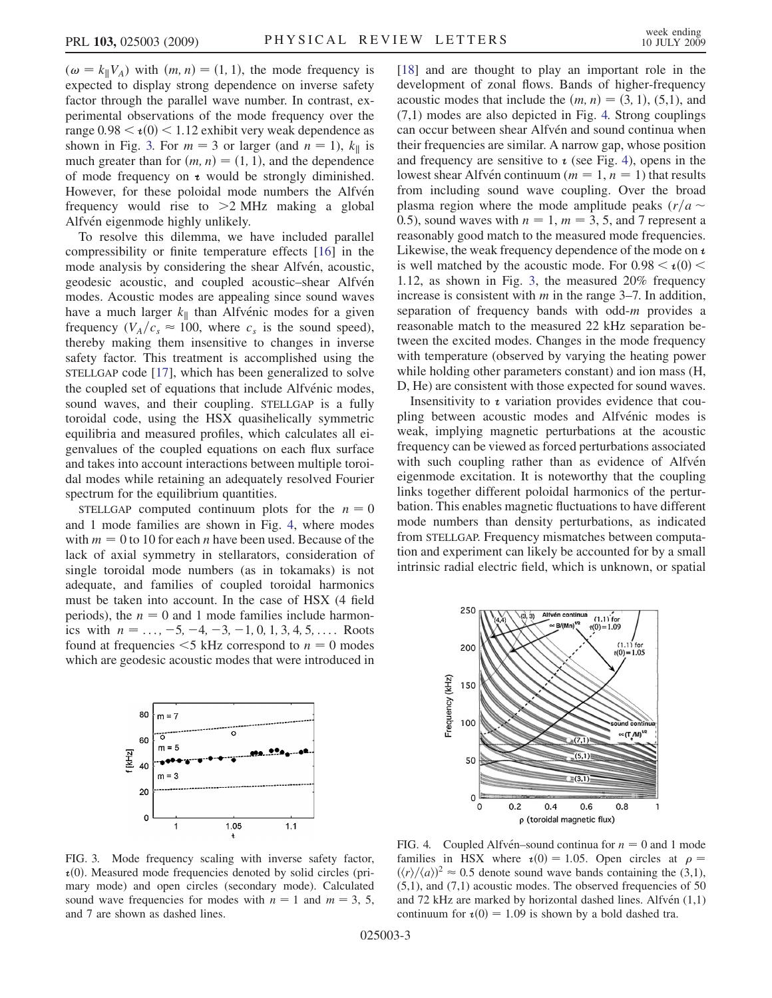$(\omega = k_{\parallel}V_A)$  with  $(m, n) = (1, 1)$ , the mode frequency is expected to display strong dependence on inverse safety factor through the parallel wave number. In contrast, experimental observations of the mode frequency over the range  $0.98 < i(0) < 1.12$  exhibit very weak dependence as shown in Fig. [3.](#page-2-0) For  $m = 3$  or larger (and  $n = 1$ ),  $k_{\parallel}$  is much greater than for  $(m, n) = (1, 1)$ , and the dependence of mode frequency on  $t$  would be strongly diminished. However, for these poloidal mode numbers the Alfvén frequency would rise to >2 MHz making a global Alfvén eigenmode highly unlikely.

To resolve this dilemma, we have included parallel compressibility or finite temperature effects [\[16\]](#page-3-11) in the mode analysis by considering the shear Alfvén, acoustic, geodesic acoustic, and coupled acoustic–shear Alfvén modes. Acoustic modes are appealing since sound waves have a much larger  $k_{\parallel}$  than Alfvénic modes for a given frequency  $(V_A/c_s \approx 100$ , where  $c_s$  is the sound speed), thereby making them insensitive to changes in inverse safety factor. This treatment is accomplished using the STELLGAP code [\[17\]](#page-3-12), which has been generalized to solve the coupled set of equations that include Alfvénic modes, sound waves, and their coupling. STELLGAP is a fully toroidal code, using the HSX quasihelically symmetric equilibria and measured profiles, which calculates all eigenvalues of the coupled equations on each flux surface and takes into account interactions between multiple toroidal modes while retaining an adequately resolved Fourier spectrum for the equilibrium quantities.

STELLGAP computed continuum plots for the  $n = 0$ and 1 mode families are shown in Fig. [4](#page-2-1), where modes with  $m = 0$  to 10 for each *n* have been used. Because of the lack of axial symmetry in stellarators, consideration of single toroidal mode numbers (as in tokamaks) is not adequate, and families of coupled toroidal harmonics must be taken into account. In the case of HSX (4 field periods), the  $n = 0$  and 1 mode families include harmonics with  $n = \ldots, -5, -4, -3, -1, 0, 1, 3, 4, 5, \ldots$ . Roots found at frequencies  $\leq$ 5 kHz correspond to  $n = 0$  modes which are geodesic acoustic modes that were introduced in

<span id="page-2-0"></span>

[\[18\]](#page-3-13) and are thought to play an important role in the development of zonal flows. Bands of higher-frequency acoustic modes that include the  $(m, n) = (3, 1), (5,1)$ , and (7,1) modes are also depicted in Fig. [4.](#page-2-1) Strong couplings can occur between shear Alfvén and sound continua when their frequencies are similar. A narrow gap, whose position and frequency are sensitive to  $\iota$  (see Fig. [4\)](#page-2-1), opens in the lowest shear Alfvén continuum ( $m = 1, n = 1$ ) that results from including sound wave coupling. Over the broad plasma region where the mode amplitude peaks  $(r/a \sim$ 0.5), sound waves with  $n = 1$ ,  $m = 3$ , 5, and 7 represent a reasonably good match to the measured mode frequencies. Likewise, the weak frequency dependence of the mode on  $\iota$ is well matched by the acoustic mode. For  $0.98 < i(0)$ 1:12, as shown in Fig. [3,](#page-2-0) the measured 20% frequency increase is consistent with  $m$  in the range 3–7. In addition, separation of frequency bands with odd- $m$  provides a reasonable match to the measured 22 kHz separation between the excited modes. Changes in the mode frequency with temperature (observed by varying the heating power while holding other parameters constant) and ion mass (H,

Insensitivity to  $\iota$  variation provides evidence that coupling between acoustic modes and Alfvénic modes is weak, implying magnetic perturbations at the acoustic frequency can be viewed as forced perturbations associated with such coupling rather than as evidence of Alfven eigenmode excitation. It is noteworthy that the coupling links together different poloidal harmonics of the perturbation. This enables magnetic fluctuations to have different mode numbers than density perturbations, as indicated from STELLGAP. Frequency mismatches between computation and experiment can likely be accounted for by a small intrinsic radial electric field, which is unknown, or spatial

D, He) are consistent with those expected for sound waves.

<span id="page-2-1"></span>

FIG. 3. Mode frequency scaling with inverse safety factor,  $\tau(0)$ . Measured mode frequencies denoted by solid circles (primary mode) and open circles (secondary mode). Calculated sound wave frequencies for modes with  $n = 1$  and  $m = 3, 5$ , and 7 are shown as dashed lines.

FIG. 4. Coupled Alfvén–sound continua for  $n = 0$  and 1 mode families in HSX where  $\tau(0) = 1.05$ . Open circles at  $\rho =$  $(\langle r \rangle / \langle a \rangle)^2 \approx 0.5$  denote sound wave bands containing the (3,1),  $(5,1)$ , and  $(7,1)$  acoustic modes. The observed frequencies of 50 and 72 kHz are marked by horizontal dashed lines. Alfvén  $(1,1)$ continuum for  $\mathbf{t}(0) = 1.09$  is shown by a bold dashed tra.